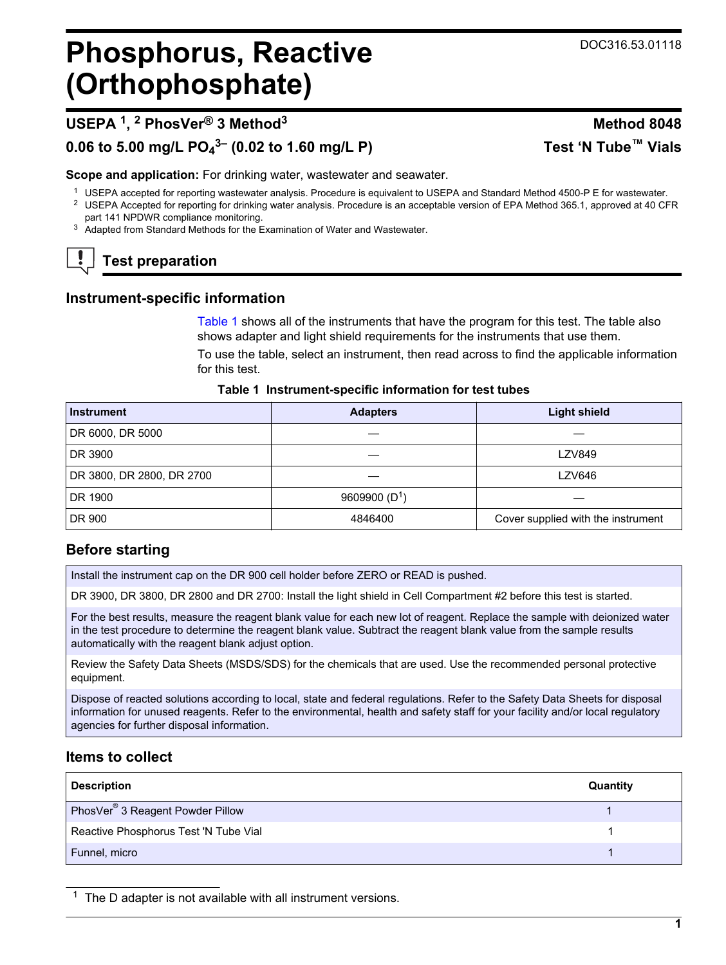# <span id="page-0-0"></span>**Phosphorus, Reactive (Orthophosphate)**

# **USEPA <sup>1</sup> , 2 PhosVer® 3 Method<sup>3</sup> Method 8048**

# **0.06 to 5.00 mg/L PO<sup>4</sup> 3– (0.02 to 1.60 mg/L P) Test 'N Tube™ Vials**

**Scope and application:** For drinking water, wastewater and seawater.

- <sup>1</sup> USEPA accepted for reporting wastewater analysis. Procedure is equivalent to USEPA and Standard Method 4500-P E for wastewater.
- <sup>2</sup> USEPA Accepted for reporting for drinking water analysis. Procedure is an acceptable version of EPA Method 365.1, approved at 40 CFR part 141 NPDWR compliance monitoring.
- <sup>3</sup> Adapted from Standard Methods for the Examination of Water and Wastewater.

# **Test preparation**

### **Instrument-specific information**

Table 1 shows all of the instruments that have the program for this test. The table also shows adapter and light shield requirements for the instruments that use them.

To use the table, select an instrument, then read across to find the applicable information for this test.

| Instrument                | <b>Adapters</b> | <b>Light shield</b>                |  |
|---------------------------|-----------------|------------------------------------|--|
| DR 6000, DR 5000          |                 |                                    |  |
| DR 3900                   |                 | <b>LZV849</b>                      |  |
| DR 3800, DR 2800, DR 2700 |                 | LZV646                             |  |
| DR 1900                   | 9609900 $(D1)$  |                                    |  |
| DR 900                    | 4846400         | Cover supplied with the instrument |  |

#### **Table 1 Instrument-specific information for test tubes**

# **Before starting**

Install the instrument cap on the DR 900 cell holder before ZERO or READ is pushed.

DR 3900, DR 3800, DR 2800 and DR 2700: Install the light shield in Cell Compartment #2 before this test is started.

For the best results, measure the reagent blank value for each new lot of reagent. Replace the sample with deionized water in the test procedure to determine the reagent blank value. Subtract the reagent blank value from the sample results automatically with the reagent blank adjust option.

Review the Safety Data Sheets (MSDS/SDS) for the chemicals that are used. Use the recommended personal protective equipment.

Dispose of reacted solutions according to local, state and federal regulations. Refer to the Safety Data Sheets for disposal information for unused reagents. Refer to the environmental, health and safety staff for your facility and/or local regulatory agencies for further disposal information.

## **Items to collect**

| <b>Description</b>                           | Quantity |
|----------------------------------------------|----------|
| PhosVer <sup>®</sup> 3 Reagent Powder Pillow |          |
| Reactive Phosphorus Test 'N Tube Vial        |          |
| Funnel, micro                                |          |

 $1$  The D adapter is not available with all instrument versions.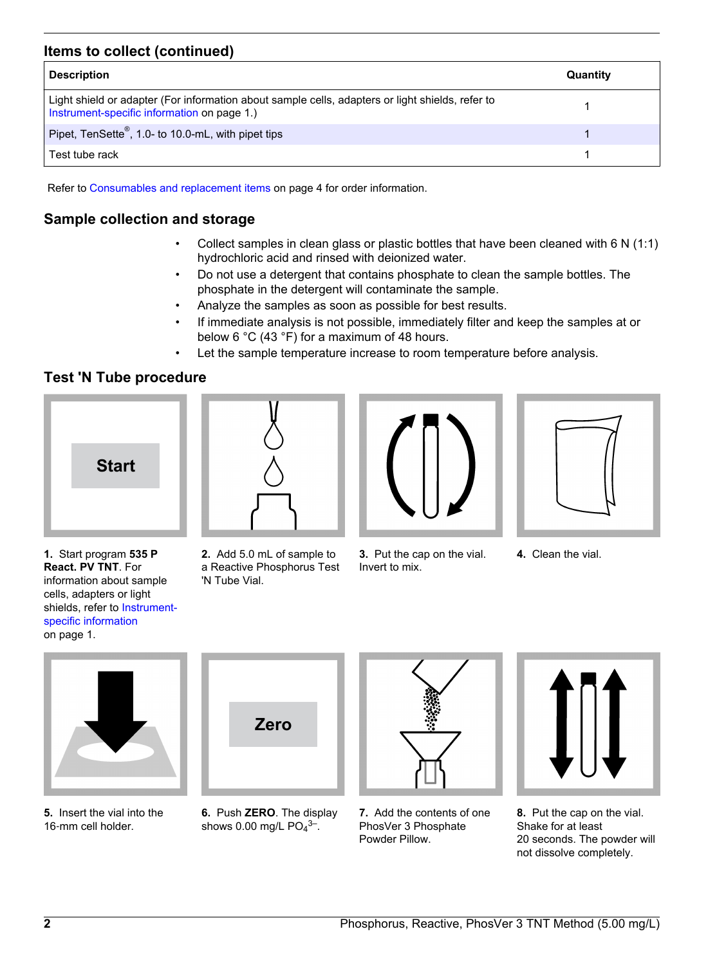#### **Items to collect (continued)**

| <b>Description</b>                                                                                                                              | Quantity |
|-------------------------------------------------------------------------------------------------------------------------------------------------|----------|
| Light shield or adapter (For information about sample cells, adapters or light shields, refer to<br>Instrument-specific information on page 1.) |          |
| Pipet, TenSette <sup>®</sup> , 1.0- to 10.0-mL, with pipet tips                                                                                 |          |
| Test tube rack                                                                                                                                  |          |

Refer to [Consumables and replacement items](#page-3-0) on page 4 for order information.

#### **Sample collection and storage**

- Collect samples in clean glass or plastic bottles that have been cleaned with 6 N (1:1) hydrochloric acid and rinsed with deionized water.
- Do not use a detergent that contains phosphate to clean the sample bottles. The phosphate in the detergent will contaminate the sample.
- Analyze the samples as soon as possible for best results.
- If immediate analysis is not possible, immediately filter and keep the samples at or below 6 °C (43 °F) for a maximum of 48 hours.
- Let the sample temperature increase to room temperature before analysis.

#### **Test 'N Tube procedure**







- **1.** Start program **535 P React. PV TNT**. For information about sample cells, adapters or light shields, refer to [Instrument](#page-0-0)[specific information](#page-0-0) on page 1.
- **2.** Add 5.0 mL of sample to a Reactive Phosphorus Test 'N Tube Vial.
- **3.** Put the cap on the vial. Invert to mix.
- **4.** Clean the vial.



**5.** Insert the vial into the 16-mm cell holder.



**6.** Push **ZERO**. The display shows 0.00 mg/L  $PO<sub>4</sub>$ <sup>3-</sup>.



**7.** Add the contents of one PhosVer 3 Phosphate Powder Pillow.



**8.** Put the cap on the vial. Shake for at least 20 seconds. The powder will not dissolve completely.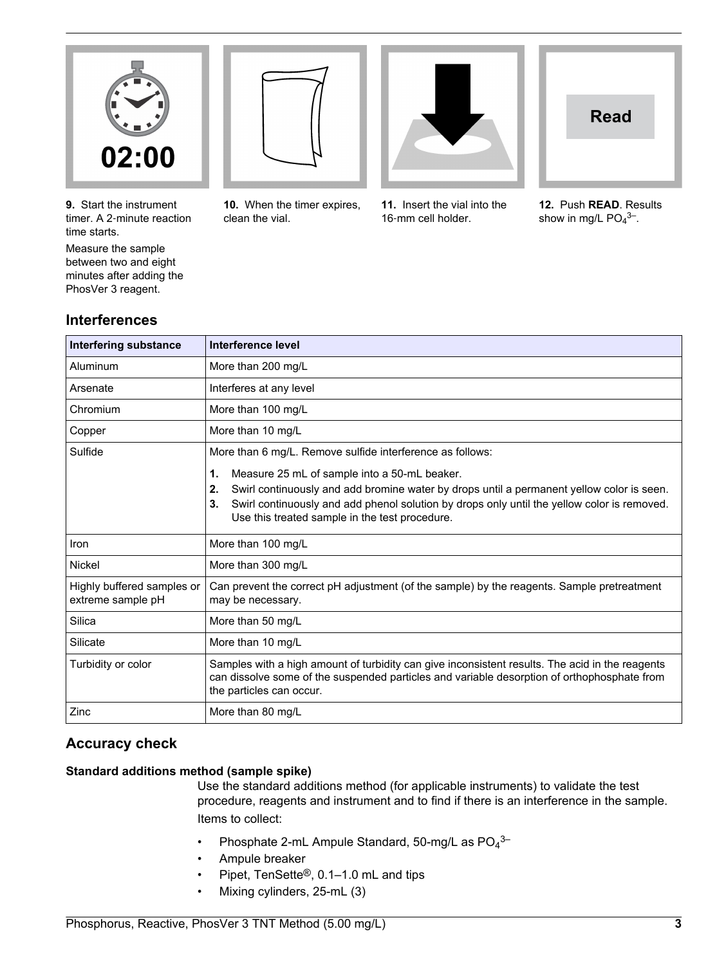

**9.** Start the instrument timer. A 2‑minute reaction time starts.

Measure the sample between two and eight minutes after adding the PhosVer 3 reagent.



**10.** When the timer expires, clean the vial.



**11.** Insert the vial into the 16-mm cell holder.



**12.** Push **READ**. Results show in mg/L  $PO<sub>4</sub><sup>3–</sup>$ .

#### **Interferences**

| <b>Interfering substance</b>                    | Interference level                                                                                                                                                                                                                                                                                           |
|-------------------------------------------------|--------------------------------------------------------------------------------------------------------------------------------------------------------------------------------------------------------------------------------------------------------------------------------------------------------------|
| Aluminum                                        | More than 200 mg/L                                                                                                                                                                                                                                                                                           |
| Arsenate                                        | Interferes at any level                                                                                                                                                                                                                                                                                      |
| Chromium                                        | More than 100 mg/L                                                                                                                                                                                                                                                                                           |
| Copper                                          | More than 10 mg/L                                                                                                                                                                                                                                                                                            |
| Sulfide                                         | More than 6 mg/L. Remove sulfide interference as follows:                                                                                                                                                                                                                                                    |
|                                                 | 1.<br>Measure 25 mL of sample into a 50-mL beaker.<br>Swirl continuously and add bromine water by drops until a permanent yellow color is seen.<br>2.<br>Swirl continuously and add phenol solution by drops only until the yellow color is removed.<br>3.<br>Use this treated sample in the test procedure. |
| Iron                                            | More than 100 mg/L                                                                                                                                                                                                                                                                                           |
| <b>Nickel</b>                                   | More than 300 mg/L                                                                                                                                                                                                                                                                                           |
| Highly buffered samples or<br>extreme sample pH | Can prevent the correct pH adjustment (of the sample) by the reagents. Sample pretreatment<br>may be necessary.                                                                                                                                                                                              |
| Silica                                          | More than 50 mg/L                                                                                                                                                                                                                                                                                            |
| Silicate                                        | More than 10 mg/L                                                                                                                                                                                                                                                                                            |
| Turbidity or color                              | Samples with a high amount of turbidity can give inconsistent results. The acid in the reagents<br>can dissolve some of the suspended particles and variable desorption of orthophosphate from<br>the particles can occur.                                                                                   |
| Zinc                                            | More than 80 mg/L                                                                                                                                                                                                                                                                                            |

#### **Accuracy check**

#### **Standard additions method (sample spike)**

Use the standard additions method (for applicable instruments) to validate the test procedure, reagents and instrument and to find if there is an interference in the sample. Items to collect:

- Phosphate 2-mL Ampule Standard, 50-mg/L as  $PO_4^{3-}$
- Ampule breaker
- Pipet, TenSette®, 0.1–1.0 mL and tips
- Mixing cylinders, 25-mL (3)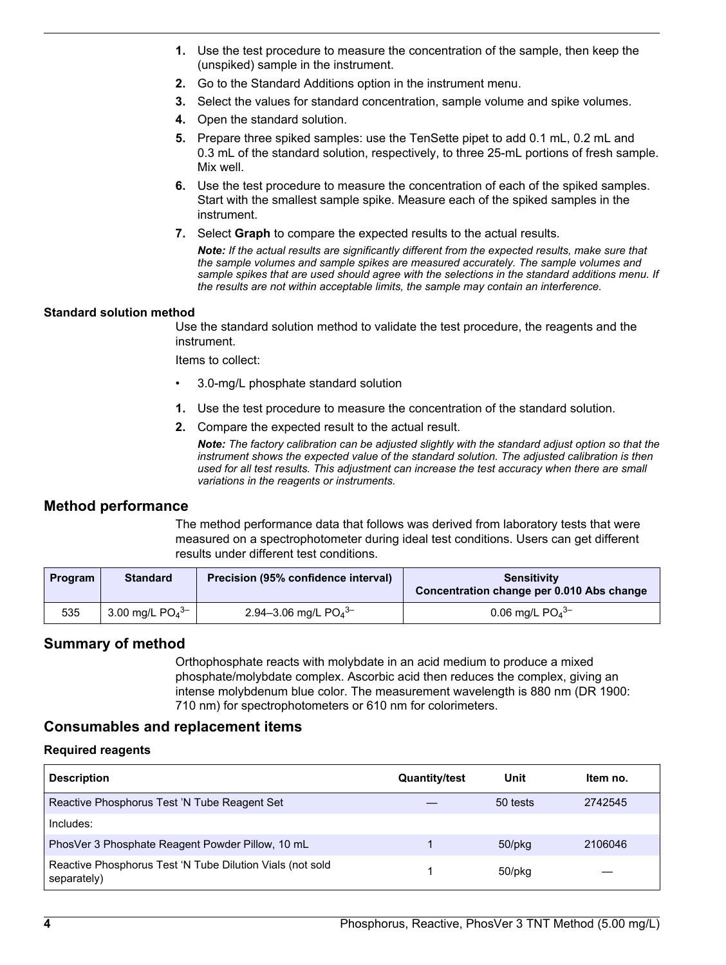- <span id="page-3-0"></span>**1.** Use the test procedure to measure the concentration of the sample, then keep the (unspiked) sample in the instrument.
- **2.** Go to the Standard Additions option in the instrument menu.
- **3.** Select the values for standard concentration, sample volume and spike volumes.
- **4.** Open the standard solution.
- **5.** Prepare three spiked samples: use the TenSette pipet to add 0.1 mL, 0.2 mL and 0.3 mL of the standard solution, respectively, to three 25-mL portions of fresh sample. Mix well.
- **6.** Use the test procedure to measure the concentration of each of the spiked samples. Start with the smallest sample spike. Measure each of the spiked samples in the instrument.
- **7.** Select **Graph** to compare the expected results to the actual results.

*Note: If the actual results are significantly different from the expected results, make sure that the sample volumes and sample spikes are measured accurately. The sample volumes and sample spikes that are used should agree with the selections in the standard additions menu. If the results are not within acceptable limits, the sample may contain an interference.*

#### **Standard solution method**

Use the standard solution method to validate the test procedure, the reagents and the instrument.

Items to collect:

- 3.0-mg/L phosphate standard solution
- **1.** Use the test procedure to measure the concentration of the standard solution.
- **2.** Compare the expected result to the actual result.

*Note: The factory calibration can be adjusted slightly with the standard adjust option so that the instrument shows the expected value of the standard solution. The adjusted calibration is then used for all test results. This adjustment can increase the test accuracy when there are small variations in the reagents or instruments.*

#### **Method performance**

The method performance data that follows was derived from laboratory tests that were measured on a spectrophotometer during ideal test conditions. Users can get different results under different test conditions.

| Program | <b>Standard</b>               | Precision (95% confidence interval) | <b>Sensitivity</b><br>Concentration change per 0.010 Abs change |
|---------|-------------------------------|-------------------------------------|-----------------------------------------------------------------|
| 535     | 3.00 mg/L $PO4$ <sup>3-</sup> | 2.94-3.06 mg/L $PO4$ <sup>3-</sup>  | 0.06 mg/L $PO_4^{3-}$                                           |

#### **Summary of method**

Orthophosphate reacts with molybdate in an acid medium to produce a mixed phosphate/molybdate complex. Ascorbic acid then reduces the complex, giving an intense molybdenum blue color. The measurement wavelength is 880 nm (DR 1900: 710 nm) for spectrophotometers or 610 nm for colorimeters.

#### **Consumables and replacement items**

#### **Required reagents**

| <b>Description</b>                                                       | <b>Quantity/test</b> | Unit         | Item no. |
|--------------------------------------------------------------------------|----------------------|--------------|----------|
| Reactive Phosphorus Test 'N Tube Reagent Set                             |                      | 50 tests     | 2742545  |
| Includes:                                                                |                      |              |          |
| PhosVer 3 Phosphate Reagent Powder Pillow, 10 mL                         |                      | 50/pkg       | 2106046  |
| Reactive Phosphorus Test 'N Tube Dilution Vials (not sold<br>separately) |                      | $50$ /p $ka$ |          |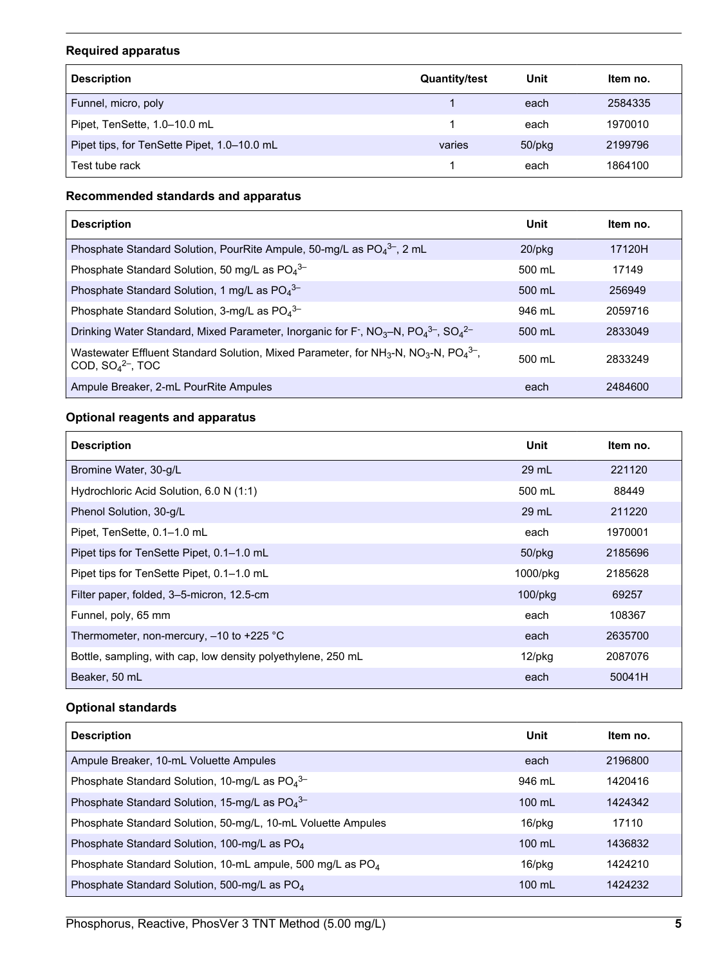#### **Required apparatus**

| <b>Description</b>                          | <b>Quantity/test</b> | Unit   | Item no. |
|---------------------------------------------|----------------------|--------|----------|
| Funnel, micro, poly                         |                      | each   | 2584335  |
| Pipet, TenSette, 1.0-10.0 mL                |                      | each   | 1970010  |
| Pipet tips, for TenSette Pipet, 1.0–10.0 mL | varies               | 50/pkg | 2199796  |
| Test tube rack                              |                      | each   | 1864100  |

#### **Recommended standards and apparatus**

| <b>Description</b>                                                                                                                                         | Unit             | Item no. |
|------------------------------------------------------------------------------------------------------------------------------------------------------------|------------------|----------|
| Phosphate Standard Solution, PourRite Ampule, 50-mg/L as $PO_4^{3-}$ , 2 mL                                                                                | $20$ /pkq        | 17120H   |
| Phosphate Standard Solution, 50 mg/L as $PO_4^{3-}$                                                                                                        | 500 mL           | 17149    |
| Phosphate Standard Solution, 1 mg/L as $PO4^{3-}$                                                                                                          | $500 \text{ ml}$ | 256949   |
| Phosphate Standard Solution, 3-mg/L as $PO4$ <sup>3-</sup>                                                                                                 | 946 ml           | 2059716  |
| Drinking Water Standard, Mixed Parameter, Inorganic for F <sup>-</sup> , NO <sub>3</sub> -N, PO <sub>4</sub> <sup>3-</sup> , SO <sub>4</sub> <sup>2-</sup> | 500 mL           | 2833049  |
| Wastewater Effluent Standard Solution, Mixed Parameter, for NH <sub>3</sub> -N, NO <sub>3</sub> -N, PO <sub>4</sub> <sup>3-</sup> ,<br>COD, $SO42-$ , TOC  | 500 ml           | 2833249  |
| Ampule Breaker, 2-mL PourRite Ampules                                                                                                                      | each             | 2484600  |

#### **Optional reagents and apparatus**

| <b>Description</b>                                           | Unit         | Item no. |
|--------------------------------------------------------------|--------------|----------|
| Bromine Water, 30-g/L                                        | 29 mL        | 221120   |
| Hydrochloric Acid Solution, 6.0 N (1:1)                      | 500 mL       | 88449    |
| Phenol Solution, 30-g/L                                      | 29 mL        | 211220   |
| Pipet, TenSette, 0.1-1.0 mL                                  | each         | 1970001  |
| Pipet tips for TenSette Pipet, 0.1-1.0 mL                    | $50$ /p $kg$ | 2185696  |
| Pipet tips for TenSette Pipet, 0.1–1.0 mL                    | 1000/pkg     | 2185628  |
| Filter paper, folded, 3-5-micron, 12.5-cm                    | $100$ /pkg   | 69257    |
| Funnel, poly, 65 mm                                          | each         | 108367   |
| Thermometer, non-mercury, -10 to +225 °C                     | each         | 2635700  |
| Bottle, sampling, with cap, low density polyethylene, 250 mL | $12$ /pkg    | 2087076  |
| Beaker, 50 mL                                                | each         | 50041H   |

#### **Optional standards**

| <b>Description</b>                                                     | Unit             | Item no. |
|------------------------------------------------------------------------|------------------|----------|
| Ampule Breaker, 10-mL Voluette Ampules                                 | each             | 2196800  |
| Phosphate Standard Solution, 10-mg/L as $PO_4^{3-}$                    | 946 ml           | 1420416  |
| Phosphate Standard Solution, 15-mg/L as $PO_4^{3-}$                    | $100 \text{ mL}$ | 1424342  |
| Phosphate Standard Solution, 50-mg/L, 10-mL Voluette Ampules           | 16/pkg           | 17110    |
| Phosphate Standard Solution, 100-mg/L as PO <sub>4</sub>               | $100 \text{ ml}$ | 1436832  |
| Phosphate Standard Solution, 10-mL ampule, 500 mg/L as PO <sub>4</sub> | 16/pkg           | 1424210  |
| Phosphate Standard Solution, 500-mg/L as PO <sub>4</sub>               | $100 \text{ mL}$ | 1424232  |